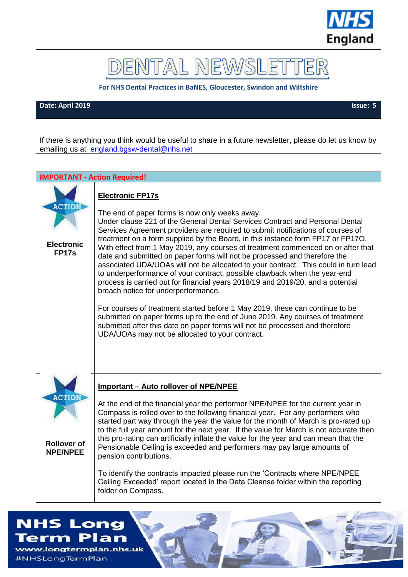

# DENTAL NEWSLET

**For NHS Dental Practices in BaNES, Gloucester, Swindon and Wiltshire**

**Date: April 2019 Issue: 5**

If there is anything you think would be useful to share in a future newsletter, please do let us know by emailing us at [england.bgsw-dental@nhs.net](mailto:england.bgsw-dental@nhs.net)

**IMPORTANT - Action Required!**

# **ACTION Electronic FP17s** ግገጠ **Rollover of NPE/NPEE**

#### **Electronic FP17s**

The end of paper forms is now only weeks away. Under clause 221 of the General Dental Services Contract and Personal Dental Services Agreement providers are required to submit notifications of courses of treatment on a form supplied by the Board, in this instance form FP17 or FP17O. With effect from 1 May 2019, any courses of treatment commenced on or after that date and submitted on paper forms will not be processed and therefore the associated UDA/UOAs will not be allocated to your contract. This could in turn lead to underperformance of your contract, possible clawback when the year-end process is carried out for financial years 2018/19 and 2019/20, and a potential breach notice for underperformance.

For courses of treatment started before 1 May 2019, these can continue to be submitted on paper forms up to the end of June 2019. Any courses of treatment submitted after this date on paper forms will not be processed and therefore UDA/UOAs may not be allocated to your contract.

#### **Important – Auto rollover of NPE/NPEE**

At the end of the financial year the performer NPE/NPEE for the current year in Compass is rolled over to the following financial year. For any performers who started part way through the year the value for the month of March is pro-rated up to the full year amount for the next year. If the value for March is not accurate then this pro-rating can artificially inflate the value for the year and can mean that the Pensionable Ceiling is exceeded and performers may pay large amounts of pension contributions.

To identify the contracts impacted please run the 'Contracts where NPE/NPEE Ceiling Exceeded' report located in the Data Cleanse folder within the reporting folder on Compass.

## **NHS Long** Term Plan

www.longtermplan.nhs.uk #NHSLongTermPlan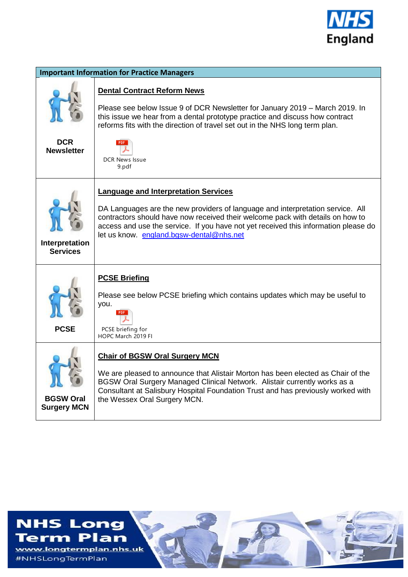

| <b>Important Information for Practice Managers</b> |                                                                                                                                                                                                                                                                                                                                                    |
|----------------------------------------------------|----------------------------------------------------------------------------------------------------------------------------------------------------------------------------------------------------------------------------------------------------------------------------------------------------------------------------------------------------|
| <b>DCR</b><br><b>Newsletter</b>                    | <b>Dental Contract Reform News</b><br>Please see below Issue 9 of DCR Newsletter for January 2019 - March 2019. In<br>this issue we hear from a dental prototype practice and discuss how contract<br>reforms fits with the direction of travel set out in the NHS long term plan.<br>DCR News Issue<br>9.pdf                                      |
| Interpretation<br><b>Services</b>                  | <b>Language and Interpretation Services</b><br>DA Languages are the new providers of language and interpretation service. All<br>contractors should have now received their welcome pack with details on how to<br>access and use the service. If you have not yet received this information please do<br>let us know. england.bgsw-dental@nhs.net |
| <b>PCSE</b>                                        | <b>PCSE Briefing</b><br>Please see below PCSE briefing which contains updates which may be useful to<br>you.<br>PCSE briefing for<br>HOPC March 2019 FI                                                                                                                                                                                            |
| <b>BGSW Oral</b><br><b>Surgery MCN</b>             | <b>Chair of BGSW Oral Surgery MCN</b><br>We are pleased to announce that Alistair Morton has been elected as Chair of the<br>BGSW Oral Surgery Managed Clinical Network. Alistair currently works as a<br>Consultant at Salisbury Hospital Foundation Trust and has previously worked with<br>the Wessex Oral Surgery MCN.                         |